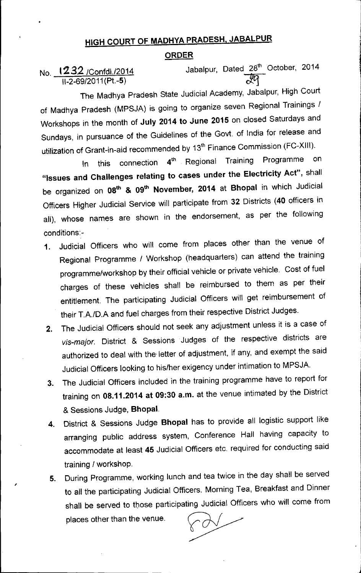## HIGH COURT OF MADHYA PRADESH, JABALPUR

## ORDER

No. 1232 / Confdl./2014

,

Jabalpur, Dated 28<sup>th</sup> October, 2014

The Madhya Pradesh State Judicial Academy, Jabalpur, High Court of Madhya Pradesh (MPSJA) is going to organize seven Regional Trainings / Workshops in the month of July 2014 to June 2015 on closed Saturdays and Sundays, in pursuance of the Guidelines of the Govt. of India for release and utilization of Grant-in-aid recommended by 13<sup>th</sup> Finance Commission (FC-XIII).

In this connection 4<sup>th</sup> Regional Training Programme on "Issues and Challenges relating to cases under the Electricity Act", shall be organized on 08<sup>th</sup> & 09<sup>th</sup> November, 2014 at Bhopal in which Judicial Officers Higher Judicial Service will participate from 32 Districts (40 officers in all), whose names are shown in the endorsement, as per the following conditions:-

- 1. Judicial Officers who will come from places other than the venue of Regional Programme / Workshop (headquarters) can attend the training programme/workshop by their official vehicle or private vehicle. Cost of fuel charges of these vehicles shall be reimbursed to them as per their entitlement. The participating Judicial Officers will get reimbursement of their T.A.lD.A and fuel charges from their respective District Judges.
- 2. The Judicial Officers should not seek any adjustment unless it is a case of *vis-major.* District & Sessions Judges of the respective districts are authorized to deal with the' letter of adjustment, if any, and exempt the said Judicial Officers looking to his/her exigency under intimation to MPSJA.
- 3. The Judicial Officers included in the training programme have to report for training on OS.11.2014 at 09:30 a.m. at the venue intimated by the District & Sessions Judge, Bhopal.
- 4. District & Sessions Judge Bhopal has to provide all logistic support like arranging public address system, Conference Hall having capacity to accommodate at least 45 Judicial Officers etc. required for conducting said training / workshop.
- 5. During Programme, working lunch and tea twice in the day shall be served to all the participating Judicial Officers. Morning Tea, Breakfast and Dinner shall be served to those participating Judicial Officers who will come from places other than the venue.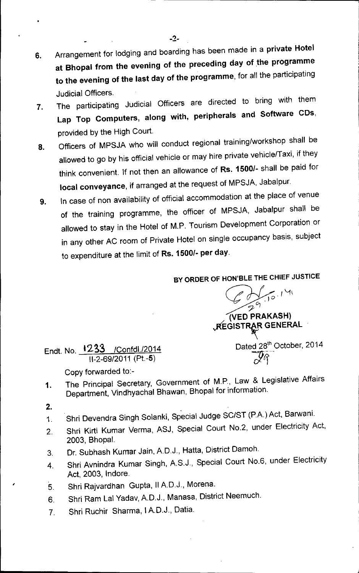- 6. Arrangement for lodging and boarding has been made in a private Hotel at Bhopal from the evening of the preceding day of the programme to the evening of the last day of the programme, for all the participating Judicial Officers.
- 7. The participating Judicial Officers are directed to bring with them Lap Top Computers, along with, peripherals and Software CDs, provided by the High Court.
- 8. Officers of MPSJA who will conduct regional training/workshop shall be allowed to go by his official vehicle or may hire private vehicle/Taxi, if they think convenient. If not then an allowance of Rs. *1500/-* shall be paid for local conveyance, if arranged at the request of MPSJA, Jabalpur.
- 9. In case of non availability of official accommodation at the place of venue of the training programme, the officer of MPSJA, Jabalpur shall be allowed to stay in the Hotel of M.P. Tourism Development Corporation or in any other AC room of Private Hotel on single occupancy basis, subject to expenditure at the limit of Rs. *1500/-* per day.

BY ORDER OF HON'BLE THE CHIEF JUSTICE

Endt. No. 1233 /Confdl./2014 11-2-69/2011(Pt.-5)

*~* (VEO PRAKASH) *r-:Lfo.r\..f\*  $\mathcal{L} \subseteq$ *70)* **REGISTRAR GENERAL** Dated 28th October, 2014 *~q--*

Copy forwarded to:-

- 1. The Principal Secretary, Government of M.P., Law & Legislative Affairs Department, Vindhyachal Bhawan, Bhopal for information.
- 2.

,

- 1. Shri Devendra Singh Solanki, Special Judge SC/ST (P.A.) Act, Barwani.
- 2. Shri Kirti Kumar Verma, ASJ, Special Court NO.2, under Electricity Act, 2003, Bhopal.
- 3. Dr. Subhash Kumar Jain, A.D.J., Hatta, District Damoh.
- 4. Shri Avnindra Kumar Singh, A.S.J., Special Court NO.6, under Electricity Act, 2003, Indore.
- 5. Shri Rajvardhan Gupta, IIA.D.J., Morena.
- 6. Shri Ram Lal Yadav, A.D.J., Manasa, District Neemuch.
- 7. Shri Ruchir Sharma, I A.D.J., Datia.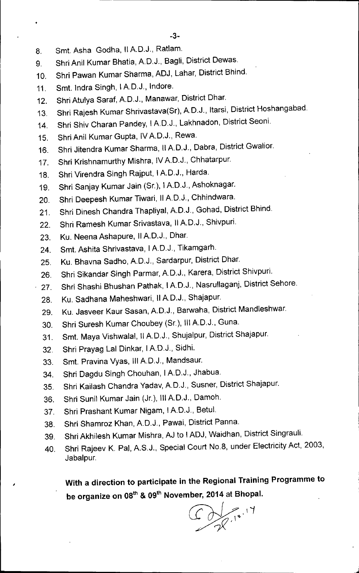- 8. Smt. Asha Godha, IIAD.J., Ratlam.
- 9. Shri Anil Kumar Bhatia, A.D.J., Bagli, District Dewas.

. The contract of the contract of the contract of the contract of the contract of the contract of the contract of the contract of the contract of the contract of the contract of the contract of the contract of the contrac

- 10. Shri Pawan Kumar Sharma, ADJ, Lahar, District Bhind.
- 11. Smt. Indra Singh, IAD.J., Indore.
- 12. Shri Atulya Saraf, A.D.J., Manawar, District Dhar.
- 13. Shri Rajesh Kumar Shrivastava(Sr), A.D.J., Itarsi, District Hoshangabad.
- 14. Shri Shiv Charan Pandey, I A.D.J., Lakhnadon, District Seoni.
- 15. Shri Anil Kumar Gupta, IV A.D.J., Rewa.
- 16. Shri Jitendra Kumar Sharma, IIAD.J., Dabra, District Gwalior.
- 17. Shri Krishnamurthy Mishra, IVAD.J., Chhatarpur.
- 18. Shri Virendra Singh Rajput, IAD.J., Harda.
- 19. Shri Sanjay Kumar Jain (Sr.), IAD.J., Ashoknagar.
- 20. Shri Deepesh Kumar Tiwari, IIA.D.J., Chhindwara.
- 21. Shri Dinesh Chandra Thapliyal, A.D.J., Gohad, District Bhind.
- 22. Shri Ramesh Kumar Srivastava, II A.D.J., Shivpuri.
- 23. Ku. Neena Ashapure, II A.D.J., Dhar.
- 24. Smt. Ashita Shrivastava, IAD.J., Tikamgarh.
- 25. Ku. Bhavna Sadho, A.D.J., Sardarpur, District Dhar.
- 26. Shri Sikandar Singh Parmar, A.D.J., Karera, District Shivpuri.
- 27. Shri Shashi Bhushan Pathak, IAD.J., Nasrullaganj, District Sehore.
- 28. Ku. Sadhana Maheshwari, II A.D.J., Shajapur.
- 29. Ku. Jasveer Kaur Sasan, A.D.J., Barwaha, District Mandleshwar.
- 30. Shri Suresh Kumar Choubey (Sr.), III AD.J., Guna.
- 31. Smt. Maya Vishwalal, II A.D.J., Shujalpur, District Shajapur.
- 32. Shri Prayag Lal Dinkar, IAD.J., Sidhi.
- 33. Smt. Pravina Vyas, III A.D.J., Mandsaur.
- 34. Shri Dagdu Singh Chouhan, IAD.J., Jhabua.
- 35. Shri Kailash Chandra Yadav,AD.J., Susner, District Shajapur.
- 36. Shri Sunil Kumar Jain (Jr.), III A.D.J., Damoh.
- 37. Shri Prashant Kumar Nigam, IAD.J., Betul.
- 38. Shri Shamroz Khan, A.D.J., Pawai, District Panna.
- 39. Shri Akhilesh Kumar Mishra, AJ to IADJ, Waidhan, District Singrauli.
- 40. Shri Rajeev K. Pal, A.S.J., Special Court No.8, under Electricity Act, 2003, Jabalpur.

**, With a direction to participate in the Regional Training Programme to be organize on** oath & Ogth **November, 2014 at Bhopal.**

C du 10.17